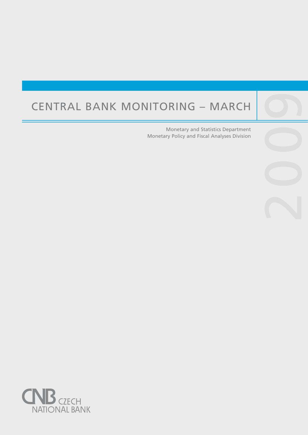# Central Bank Monitoring – March

Central banks are not universities and one would

purpose, such as, to lay the ground for the satisfac-

Monetary and Statistics Department Monetary Policy and Fiscal Analyses Division

2009

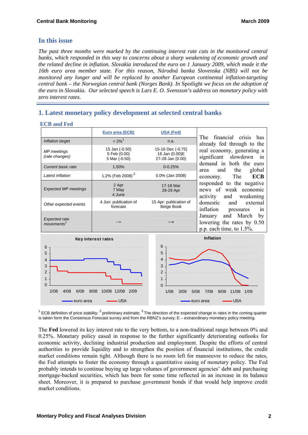# **In this issue**

**ECB and Fed** 

*The past three months were marked by the continuing interest rate cuts in the monitored central banks, which responded in this way to concerns about a sharp weakening of economic growth and the related decline in inflation. Slovakia introduced the euro on 1 January 2009, which made it the 16th euro area member state. For this reason, Národná banka Slovenska (NBS) will not be monitored any longer and will be replaced by another European continental inflation-targeting central bank – the Norwegian central bank (Norges Bank). In* Spotlight *we focus on the adoption of the euro in Slovakia. Our selected speech is Lars E. O. Svensson's address on monetary policy with zero interest rates.* 

# **1. Latest monetary policy development at selected central banks**

| LUD and red                                    |                                                 |                                                         |                                                                                                                                                                                                                                                                                                                                                                                                                                                                                                                                  |  |  |  |
|------------------------------------------------|-------------------------------------------------|---------------------------------------------------------|----------------------------------------------------------------------------------------------------------------------------------------------------------------------------------------------------------------------------------------------------------------------------------------------------------------------------------------------------------------------------------------------------------------------------------------------------------------------------------------------------------------------------------|--|--|--|
|                                                | Euro area (ECB)                                 | <b>USA (Fed)</b>                                        |                                                                                                                                                                                                                                                                                                                                                                                                                                                                                                                                  |  |  |  |
| Inflation target                               | $< 2\%$ <sup>1</sup>                            | n.a.                                                    | financial crisis has<br>The<br>already fed through to the<br>real economy, generating a<br>significant<br>slowdown in<br>demand in both the euro<br>global<br>the<br>and<br>area<br><b>ECB</b><br>The<br>economy.<br>responded to the negative<br>news of weak economic<br>and<br>weakening<br>activity<br>domestic<br>and<br>external<br>inflation<br>1n<br>pressures                                                                                                                                                           |  |  |  |
| MP meetings<br>(rate changes)                  | 15 Jan (-0.50)<br>5 Feb (0.00)<br>5 Mar (-0.50) | 15-16 Dec (-0.75)<br>16 Jan (0.00)E<br>27-28 Jan (0.00) |                                                                                                                                                                                                                                                                                                                                                                                                                                                                                                                                  |  |  |  |
| <b>Current basic rate</b>                      | 1.50%                                           | $0 - 0.25%$                                             |                                                                                                                                                                                                                                                                                                                                                                                                                                                                                                                                  |  |  |  |
| Latest inflation                               | 1.2% (Feb 2008) <sup>2</sup>                    | 0.0% (Jan 2008)                                         |                                                                                                                                                                                                                                                                                                                                                                                                                                                                                                                                  |  |  |  |
| <b>Expected MP meetings</b>                    | 2 Apr<br>7 May<br>4 June                        | 17-18 Mar<br>28-29 Apr                                  |                                                                                                                                                                                                                                                                                                                                                                                                                                                                                                                                  |  |  |  |
| Other expected events                          | 4 Jun: publication of<br>forecast               | 15 Apr: publication of<br>Beige Book                    |                                                                                                                                                                                                                                                                                                                                                                                                                                                                                                                                  |  |  |  |
| <b>Expected rate</b><br>moverents <sup>3</sup> |                                                 |                                                         | and March<br>January<br>by                                                                                                                                                                                                                                                                                                                                                                                                                                                                                                       |  |  |  |
|                                                |                                                 |                                                         | lowering the rates by $0.50$<br>$\therefore$ $\therefore$ $\therefore$ $\therefore$ $\therefore$ $\therefore$ $\therefore$ $\therefore$ $\therefore$ $\therefore$ $\therefore$ $\therefore$ $\therefore$ $\therefore$ $\therefore$ $\therefore$ $\therefore$ $\therefore$ $\therefore$ $\therefore$ $\therefore$ $\therefore$ $\therefore$ $\therefore$ $\therefore$ $\therefore$ $\therefore$ $\therefore$ $\therefore$ $\therefore$ $\therefore$ $\therefore$ $\therefore$ $\therefore$ $\therefore$ $\therefore$ $\therefore$ |  |  |  |



<sup>1</sup> ECB definition of price stability; <sup>2</sup> preliminary estimate; <sup>3</sup> The direction of the expected change in rates in the coming quarter is taken form the Consensus Forecast survey and from the RBNZ's survey; E – extraordinary monetary policy meeting.

The **Fed** lowered its key interest rate to the very bottom, to a non-traditional range between 0% and 0.25%. Monetary policy eased in response to the further significantly deteriorating outlooks for economic activity, declining industrial production and employment. Despite the efforts of central authorities to provide liquidity and to strengthen the position of financial institutions, the credit market conditions remain tight. Although there is no room left for manoeuvre to reduce the rates, the Fed attempts to foster the economy through a quantitative easing of monetary policy. The Fed probably intends to continue buying up large volumes of government agencies' debt and purchasing mortgage-backed securities, which has been for some time reflected in an increase in its balance sheet. Moreover, it is prepared to purchase government bonds if that would help improve credit market conditions.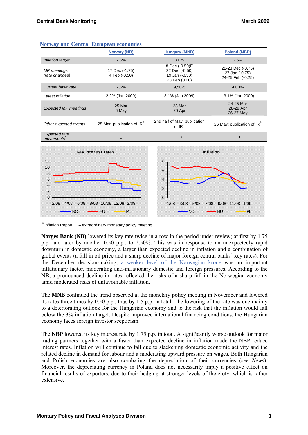|                                                | <b>Norway (NB)</b>                     | <b>Hungary (MNB)</b>                                                | <b>Poland (NBP)</b>                                      |
|------------------------------------------------|----------------------------------------|---------------------------------------------------------------------|----------------------------------------------------------|
| Inflation target                               | 2.5%                                   | 3.0%                                                                | 2.5%                                                     |
| MP meetings<br>(rate changes)                  | 17 Dec (-1.75)<br>4 Feb (-0.50)        | 8 Dec (-0.50)E<br>22 Dec (-0.50)<br>19 Jan (-0.50)<br>23 Feb (0.00) | 22-23 Dec (-0.75)<br>27 Jan (-0.75)<br>24-25 Feb (-0.25) |
| Current basic rate                             | 2,5%                                   | 9,50%                                                               | 4.00%                                                    |
| Latest inflation                               | 2.2% (Jan 2009)                        | 3.1% (Jan 2009)                                                     | 3.1% (Jan 2009)                                          |
| <b>Expected MP meetings</b>                    | 25 Mar<br>6 May                        | 23 Mar<br>20 Apr                                                    | 24-25 Mar<br>28-29 Apr<br>26-27 May                      |
| Other expected events                          | 25 Mar: publication of IR <sup>4</sup> | 2nd half of May: publication<br>of $IR^4$                           | 26 May: publication of IR <sup>4</sup>                   |
| <b>Expected rate</b><br>moverents <sup>3</sup> |                                        | $\longrightarrow$                                                   |                                                          |





 $4$  Inflation Report; E – extraordinary monetary policy meeting

**Norges Bank (NB)** lowered its key rate twice in a row in the period under review; at first by 1.75 p.p. and later by another 0.50 p.p., to 2.50%. This was in response to an unexpectedly rapid downturn in domestic economy, a larger than expected decline in inflation and a combination of global events (a fall in oil price and a sharp decline of major foreign central banks' key rates). For the December decision-making, [a weaker level of the Norwegian krone](http://www.ecb.europa.eu/stats/exchange/eurofxref/html/eurofxref-graph-nok.en.html) was an important inflationary factor, moderating anti-inflationary domestic and foreign pressures. According to the NB, a pronounced decline in rates reflected the risks of a sharp fall in the Norwegian economy amid moderated risks of unfavourable inflation.

The **MNB** continued the trend observed at the monetary policy meeting in November and lowered its rates three times by 0.50 p.p., thus by 1.5 p.p. in total. The lowering of the rate was due mainly to a deteriorating outlook for the Hungarian economy and to the risk that the inflation would fall below the 3% inflation target. Despite improved international financing conditions, the Hungarian economy faces foreign investor scepticism.

The **NBP** lowered its key interest rate by 1.75 p.p. in total. A significantly worse outlook for major trading partners together with a faster than expected decline in inflation made the NBP reduce interest rates. Inflation will continue to fall due to slackening domestic economic activity and the related decline in demand for labour and a moderating upward pressure on wages. Both Hungarian and Polish economies are also combating the depreciation of their currencies (see *News*). Moreover, the depreciating currency in Poland does not necessarily imply a positive effect on financial results of exporters, due to their hedging at stronger levels of the zloty, which is rather extensive.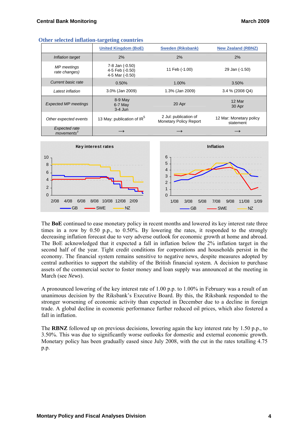|                                                | <b>United Kingdom (BoE)</b>                           | <b>Sweden (Riksbank)</b>                        | <b>New Zealand (RBNZ)</b>            |
|------------------------------------------------|-------------------------------------------------------|-------------------------------------------------|--------------------------------------|
| Inflation target                               | 2%                                                    | 2%                                              | 2%                                   |
| MP meetings<br>rate changes)                   | 7-8 Jan (-0.50)<br>4-5 Feb (-0.50)<br>4-5 Mar (-0.50) | 11 Feb (-1.00)                                  | 29 Jan (-1.50)                       |
| Current basic rate                             | 0.50%                                                 | 1.00%                                           | 3.50%                                |
| Latest inflation                               | 3.0% (Jan 2009)                                       | 1.3% (Jan 2009)                                 | 3.4 % (2008 Q4)                      |
| <b>Expected MP meetings</b>                    | 8-9 May<br>$6-7$ May<br>$3-4$ Jun                     | 20 Apr                                          | 12 Mar<br>30 Apr                     |
| Other expected events                          | 13 May: publication of IR <sup>5</sup>                | 2 Jul: publication of<br>Monetary Policy Report | 12 Mar: Monetary policy<br>statement |
| <b>Expected rate</b><br>moverents <sup>3</sup> |                                                       |                                                 |                                      |





The **BoE** continued to ease monetary policy in recent months and lowered its key interest rate three times in a row by 0.50 p.p., to 0.50%. By lowering the rates, it responded to the strongly decreasing inflation forecast due to very adverse outlook for economic growth at home and abroad. The BoE acknowledged that it expected a fall in inflation below the 2% inflation target in the second half of the year. Tight credit conditions for corporations and households persist in the economy. The financial system remains sensitive to negative news, despite measures adopted by central authorities to support the stability of the British financial system. A decision to purchase assets of the commercial sector to foster money and loan supply was announced at the meeting in March (see *News*).

A pronounced lowering of the key interest rate of 1.00 p.p. to 1.00% in February was a result of an unanimous decision by the Riksbank's Executive Board. By this, the Riksbank responded to the stronger worsening of economic activity than expected in December due to a decline in foreign trade. A global decline in economic performance further reduced oil prices, which also fostered a fall in inflation

The **RBNZ** followed up on previous decisions, lowering again the key interest rate by 1.50 p.p., to 3.50%. This was due to significantly worse outlooks for domestic and external economic growth. Monetary policy has been gradually eased since July 2008, with the cut in the rates totalling 4.75 p.p.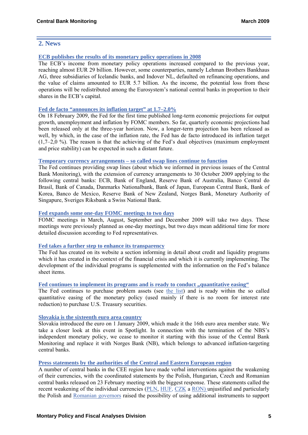# **2. News**

# **[ECB publishes the results of its monetary policy operations in 2008](http://http/www.ecb.int/press/pr/date/2009/html/pr090305_2.en.html)**

The ECB's income from monetary policy operations increased compared to the previous year, reaching almost EUR 29 billion. However, some counterparties, namely Lehman Brothers Bankhaus AG, three subsidiaries of Icelandic banks, and Indover NL, defaulted on refinancing operations, and the value of claims amounted to EUR 5.7 billion. As the income, the potential loss from these operations will be redistributed among the Eurosystem's national central banks in proportion to their shares in the ECB's capital.

### **[Fed de facto "announces its inflation target" at 1.7–2.0%](http://www.federalreserve.gov/newsevents/press/monetary/20090218a.htm)**

On 18 February 2009, the Fed for the first time published long-term economic projections for output growth, unemployment and inflation by FOMC members. So far, quarterly economic projections had been released only at the three-year horizon. Now, a longer-term projection has been released as well, by which, in the case of the inflation rate, the Fed has de facto introduced its inflation target  $(1.7–2.0\%)$ . The reason is that the achieving of the Fed's dual objectives (maximum employment and price stability) can be expected in such a distant future.

# **[Temporary currency arrangements – so called swap lines continue to function](http://www.bankofengland.co.uk/publications/news/2009/007.htm)**

The Fed continues providing swap lines (about which we informed in previous issues of the Central Bank Monitoring), with the extension of currency arrangements to 30 October 2009 applying to the following central banks: ECB, Bank of England, Reserve Bank of Australia, Banco Central do Brasil, Bank of Canada, Danmarks Nationalbank, Bank of Japan, European Central Bank, Bank of Korea, Banco de Mexico, Reserve Bank of New Zealand, Norges Bank, Monetary Authority of Singapure, Sveriges Riksbank a Swiss National Bank.

# **[Fed expands some one-day FOMC meetings to two days](http://www.federalreserve.gov./newsevents/press/monetary/20090213a.htm)**

FOMC meetings in March, August, September and December 2009 will take two days. These meetings were previously planned as one-day meetings, but two days mean additional time for more detailed discussion according to Fed representatives.

# **[Fed takes a further step to enhance its transparency](http://www.federalreserve.gov./monetarypolicy/bst.htm)**

The Fed has created on its website a section informing in detail about credit and liquidity programs which it has created in the context of the financial crisis and which it is currently implementing. The development of the individual programs is supplemented with the information on the Fed's balance sheet items.

# [Fed continues to implement its programs and is ready to conduct "quantitative easing"](http://www.federalreserve.gov/newsevents/press/monetary/20090128a.htm)

The Fed continues to purchase problem assets (see [the list\)](http://www.federalreserve.gov./monetarypolicy/bst.htm) and is ready within the so called quantitative easing of the monetary policy (used mainly if there is no room for interest rate reduction) to purchase U.S. Treasury securities.

#### **[Slovakia is the sixteenth euro area country](http://www.ecb.europa.eu/press/pr/date/2009/html/pr090101.cs.html)**

Slovakia introduced the euro on 1 January 2009, which made it the 16th euro area member state. We take a closer look at this event in Spotlight. In connection with the termination of the NBS's independent monetary policy, we cease to monitor it starting with this issue of the Central Bank Monitoring and replace it with Norges Bank (NB), which belongs to advanced inflation-targeting central banks.

#### **[Press statements by the authorities of the Central and Eastern European region](http://www.ft.com/cms/s/0/89725d8e-01dc-11de-8199-000077b07658.html?nclick_check=1)**

A number of central banks in the CEE region have made verbal interventions against the weakening of their currencies, with the coordinated statements by the Polish, Hungarian, Czech and Romanian central banks released on 23 February meeting with the biggest response. These statements called the recent weakening of the individual currencies ([PLN](http://www.ecb.europa.eu/stats/exchange/eurofxref/html/eurofxref-graph-pln.en.html), [HUF](http://www.ecb.europa.eu/stats/exchange/eurofxref/html/eurofxref-graph-huf.en.html), [CZK](http://www.ecb.europa.eu/stats/exchange/eurofxref/html/eurofxref-graph-czk.en.html) a [RON](http://www.ecb.europa.eu/stats/exchange/eurofxref/html/eurofxref-graph-ron.en.html)) unjustified and particularly the Polish and [Romanian governors](http://www.bnro.ro/def_en.htm) raised the possibility of using additional instruments to support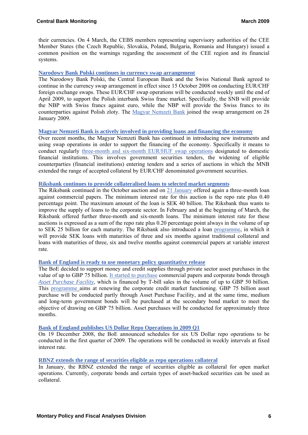their currencies. On 4 March, the CEBS members representing supervisory authorities of the CEE Member States (the Czech Republic, Slovakia, Poland, Bulgaria, Romania and Hungary) issued a common position on the warnings regarding the assessment of the CEE region and its financial systems.

## **[Narodowy Bank Polski continues in currency swap arrangement](http://www.nbp.pl/Homen.aspx?f=/en/aktualnosci/2009/swap160109_en.html)**

The Narodowy Bank Polski, the Central European Bank and the Swiss National Bank agreed to continue in the currency swap arrangement in effect since 15 October 2008 on conducting EUR/CHF foreign exchange swaps. These EUR/CHF swap operations will be conducted weekly until the end of April 2009, to support the Polish interbank Swiss franc market. Specifically, the SNB will provide the NBP with Swiss francs against euro, while the NBP will provide the Swiss francs to its counterparties against Polish zloty. The [Magyar Nemzeti Bank](http://english.mnb.hu/Engine.aspx?page=mnben_pressreleases_2008&ContentID=12030) joined the swap arrangement on 28 January 2009.

#### **[Magyar Nemzeti Bank is actively involved in providing loans and financing the economy](http://english.mnb.hu/Engine.aspx?page=mnben_pressreleases_2008&ContentID=12078)**

Over recent months, the Magyar Nemzeti Bank has continued in introducing new instruments and using swap operations in order to support the financing of the economy. Specifically it means to conduct regularly [three-month and six-month EUR/HUF swap operations](http://english.mnb.hu/engine.aspx?page=mnben_eszkoztar_tenderek) designated to domestic financial institutions. This involves government securities tenders, the widening of eligible counterparties (financial institutions) entering tenders and a series of auctions in which the MNB extended the range of accepted collateral by EUR/CHF denominated government securities.

#### **Riksbank continues to provide collateralised loans to selected market segments**

The Riksbank continued in the October auction and on [21 January](http://www.riksbank.com/templates/Page.aspx?id=30177) offered again a three-month loan against commercial papers. The minimum interest rate for this auction is the repo rate plus 0.40 percentage point. The maximum amount of the loan is SEK 40 billion. The Riksbank thus wants to improve the supply of loans to the corporate sector. In February and at the beginning of March, the Riksbank offered further three-month and six-month loans. The minimum interest rate for these auctions is expressed as a sum of the repo rate plus 0.20 percentage point always in the volume of up to SEK 25 billion for each maturity. The Riksbank also introduced a loan [programme,](http://www.riksbank.com/templates/Page.aspx?id=30704) in which it will provide SEK loans with maturities of three and six months against traditional collateral and loans with maturities of three, six and twelve months against commercial papers at variable interest rate.

# **[Bank of England is ready to use monetary policy quantitative release](http://www.bankofengland.co.uk/publications/news/2009/019.htm)**

The BoE decided to support money and credit supplies through private sector asset purchases in the value of up to GBP 75 billion. [It started to purchase](http://www.bankofengland.co.uk/publications/news/2009/005.htm) commercial papers and corporate bonds through *[Asset Purchase Facility](http://www.bankofengland.co.uk/publications/news/2009/009.htm)*, which is financed by T-bill sales in the volume of up to GBP 50 billion. This [programme](http://www.bankofengland.co.uk/markets/marketnotice090206.pdf) aims at renewing the corporate credit market functioning. GBP 75 billion asset purchase will be conducted partly through Asset Purchase Facility, and at the same time, medium and long-term government bonds will be purchased at the secondary bond market to meet the objective of drawing on GBP 75 billion. Asset purchases will be conducted for approximately three months.

#### **[Bank of England publishes US Dollar Repo Operations in 2009 Q1](http://www.bankofengland.co.uk/publications/news/2008/130.htm)**

On 19 December 2008, the BoE announced schedules for six US Dollar repo operations to be conducted in the first quarter of 2009. The operations will be conducted in weekly intervals at fixed interest rate.

#### **[RBNZ extends the range of securities eligible as repo operations collateral](http://www.rbnz.govt.nz/finmarkets/domesticmarkets/3531101.html)**

In January, the RBNZ extended the range of securities eligible as collateral for open market operations. Currently, corporate bonds and certain types of asset-backed securities can be used as collateral.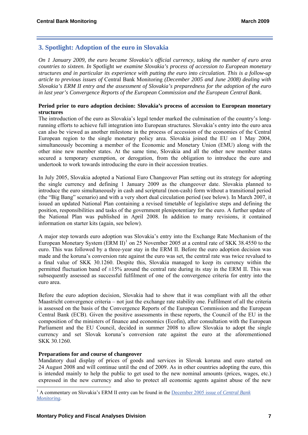# **3. Spotlight: Adoption of the euro in Slovakia**

*On 1 January 2009, the euro became Slovakia's official currency, taking the number of euro area countries to sixteen. In* Spotlight *we examine Slovakia's process of accession to European monetary structures and in particular its experience with putting the euro into circulation. This is a follow-up article to previous issues of* Central Bank Monitoring *(December 2005 and June 2008) dealing with Slovakia's ERM II entry and the assessment of Slovakia's preparedness for the adoption of the euro in last year's Convergence Reports of the European Commission and the European Central Bank.* 

## **Period prior to euro adoption decision: Slovakia's process of accession to European monetary structures**

The introduction of the euro as Slovakia's legal tender marked the culmination of the country's longrunning efforts to achieve full integration into European structures. Slovakia's entry into the euro area can also be viewed as another milestone in the process of accession of the economies of the Central European region to the single monetary policy area. Slovakia joined the EU on 1 May 2004, simultaneously becoming a member of the Economic and Monetary Union (EMU) along with the other nine new member states. At the same time, Slovakia and all the other new member states secured a temporary exemption, or derogation, from the obligation to introduce the euro and undertook to work towards introducing the euro in their accession treaties.

In July 2005, Slovakia adopted a National Euro Changeover Plan setting out its strategy for adopting the single currency and defining 1 January 2009 as the changeover date. Slovakia planned to introduce the euro simultaneously in cash and scriptural (non-cash) form without a transitional period (the "Big Bang" scenario) and with a very short dual circulation period (see below). In March 2007, it issued an updated National Plan containing a revised timetable of legislative steps and defining the position, responsibilities and tasks of the government plenipotentiary for the euro. A further update of the National Plan was published in April 2008. In addition to many revisions, it contained information on starter kits (again, see below).

A major step towards euro adoption was Slovakia's entry into the Exchange Rate Mechanism of the European Monetary System  $(ERM II)^1$  $(ERM II)^1$  on 25 November 2005 at a central rate of SKK 38.4550 to the euro. This was followed by a three-year stay in the ERM II. Before the euro adoption decision was made and the koruna's conversion rate against the euro was set, the central rate was twice revalued to a final value of SKK 30.1260. Despite this, Slovakia managed to keep its currency within the permitted fluctuation band of  $\pm 15\%$  around the central rate during its stay in the ERM II. This was subsequently assessed as successful fulfilment of one of the convergence criteria for entry into the euro area.

Before the euro adoption decision, Slovakia had to show that it was compliant with all the other Maastricht convergence criteria – not just the exchange rate stability one. Fulfilment of all the criteria is assessed on the basis of the Convergence Reports of the European Commission and the European Central Bank (ECB). Given the positive assessments in these reports, the Council of the EU in the composition of the ministers of finance and economics (Ecofin), after consultation with the European Parliament and the EU Council, decided in summer 2008 to allow Slovakia to adopt the single currency and set Slovak koruna's conversion rate against the euro at the aforementioned SKK 30.1260.

# **Preparations for and course of changeover**

-

Mandatory dual display of prices of goods and services in Slovak koruna and euro started on 24 August 2008 and will continue until the end of 2009. As in other countries adopting the euro, this is intended mainly to help the public to get used to the new nominal amounts (prices, wages, etc.) expressed in the new currency and also to protect all economic agents against abuse of the new

<span id="page-6-0"></span><sup>&</sup>lt;sup>1</sup> A commentary on Slovakia's ERM II entry can be found in the [December 2005 issue of](http://www.cnb.cz/m2export/sites/www.cnb.cz/en/monetary_policy/monitoring/download/0504_cbm.pdf) *Central Bank [Monitoring](http://www.cnb.cz/m2export/sites/www.cnb.cz/en/monetary_policy/monitoring/download/0504_cbm.pdf)*.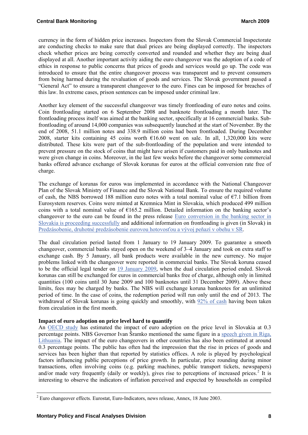currency in the form of hidden price increases. Inspectors from the Slovak Commercial Inspectorate are conducting checks to make sure that dual prices are being displayed correctly. The inspectors check whether prices are being correctly converted and rounded and whether they are being dual displayed at all. Another important activity aiding the euro changeover was the adoption of a code of ethics in response to public concerns that prices of goods and services would go up. The code was introduced to ensure that the entire changeover process was transparent and to prevent consumers from being harmed during the revaluation of goods and services. The Slovak government passed a "General Act" to ensure a transparent changeover to the euro. Fines can be imposed for breaches of this law. In extreme cases, prison sentences can be imposed under criminal law.

Another key element of the successful changeover was timely frontloading of euro notes and coins. Coin frontloading started on 6 September 2008 and banknote frontloading a month later. The frontloading process itself was aimed at the banking sector, specifically at 16 commercial banks. Subfrontloading of around 14,000 companies was subsequently launched at the start of November. By the end of 2008, 51.1 million notes and 338.9 million coins had been frontloaded. During December 2008, starter kits containing 45 coins worth  $£16.60$  went on sale. In all, 1,320,000 kits were distributed. These kits were part of the sub-frontloading of the population and were intended to prevent pressure on the stock of coins that might have arisen if customers paid in only banknotes and were given change in coins. Moreover, in the last few weeks before the changeover some commercial banks offered advance exchange of Slovak korunas for euros at the official conversion rate free of charge.

The exchange of korunas for euros was implemented in accordance with the National Changeover Plan of the Slovak Ministry of Finance and the Slovak National Bank. To ensure the required volume of cash, the NBS borrowed 188 million euro notes with a total nominal value of  $\epsilon$ 7.1 billion from Eurosystem reserves. Coins were minted at Kremnica Mint in Slovakia, which produced 499 million coins with a total nominal value of  $\epsilon$ 165.2 million. Detailed information on the banking sector's changeover to the euro can be found in the press release [Euro conversion in the banking sector in](http://www.nbs.sk/en/press/all-press-releases/press-release/_euro-conversion-in-the-banking-sector-in-slovakia-is-proceeding-successfully/bc)  [Slovakia is proceeding successfully](http://www.nbs.sk/en/press/all-press-releases/press-release/_euro-conversion-in-the-banking-sector-in-slovakia-is-proceeding-successfully/bc) and additional information on frontloading is given (in Slovak) in [Predzásobenie, druhotné predzásobenie eurovou](http://www.nbs.sk/_img/Documents/_TS/090101/010109_podrobna_informacia_o_predzasobeni.pdf) hotovosťou a vývoj peňazí v obehu v SR.

The dual circulation period lasted from 1 January to 19 January 2009. To guarantee a smooth changeover, commercial banks stayed open on the weekend of 3–4 January and took on extra staff to exchange cash. By 5 January, all bank products were available in the new currency. No major problems linked with the changeover were reported in commercial banks. The Slovak koruna ceased to be the official legal tender on [19 January 2009](http://www.ecb.int/press/pr/date/2009/html/pr090116_1.en.html), when the dual circulation period ended. Slovak korunas can still be exchanged for euros in commercial banks free of charge, although only in limited quantities (100 coins until 30 June 2009 and 100 banknotes until 31 December 2009). Above these limits, fees may be charged by banks. The NBS will exchange koruna banknotes for an unlimited period of time. In the case of coins, the redemption period will run only until the end of 2013. The withdrawal of Slovak korunas is going quickly and smoothly, with [92% of cash](http://www.nbs.sk/sk/informacie-pre-media/tlacove-spravy/spravy-vseobecne/detail-tlacovej-spravy/_priebezna-informacia-o-stahovani-slovenskych-korun-z-obehu7) having been taken from circulation in the first month.

#### **Impact of euro adoption on price level hard to quantify**

An [OECD study](http://www.oecd.org/dataoecd/21/19/41029083.pdf) has estimated the impact of euro adoption on the price level in Slovakia at 0.3 percentage points. NBS Governor Ivan Šramko mentioned the same figure in a [speech given in Riga,](http://www.bank.lv/images/img_lb/sapinfo/latvian/konference/2008/Sramko_euro_road_challenges.pdf)  [Lithuania.](http://www.bank.lv/images/img_lb/sapinfo/latvian/konference/2008/Sramko_euro_road_challenges.pdf) The impact of the euro changeovers in other countries has also been estimated at around 0.3 percentage points. The public has often had the impression that the rise in prices of goods and services has been higher than that reported by statistics offices. A role is played by psychological factors influencing public perceptions of price growth. In particular, price rounding during minor transactions, often involving coins (e.g. parking machines, public transport tickets, newspapers) and/or made very frequently (daily or weekly), gives rise to perceptions of increased prices.<sup>[2](#page-7-0)</sup> It is interesting to observe the indicators of inflation perceived and expected by households as compiled

-

<span id="page-7-0"></span> $2^2$  Euro changeover effects. Eurostat, Euro-Indicators, news release, Annex, 18 June 2003.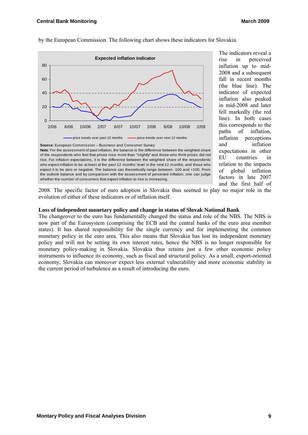

by the European Commission. The following chart shows these indicators for Slovakia.

The indicators reveal a rise in perceived inflation up to mid-2008 and a subsequent fall in recent months (the blue line). The indicator of expected inflation also peaked in mid-2008 and later fell markedly (the red line). In both cases this corresponds to the paths of inflation, inflation perceptions and inflation expectations in other EU countries in relation to the impacts of global inflation factors in late 2007 and the first half of

2008. The specific factor of euro adoption in Slovakia thus seemed to play no major role in the evolution of either of these indicators or of inflation itself.

#### **Loss of independent monetary policy and change in status of Slovak National Bank**

The changeover to the euro has fundamentally changed the status and role of the NBS. The NBS is now part of the Eurosystem (comprising the ECB and the central banks of the euro area member states). It has shared responsibility for the single currency and for implementing the common monetary policy in the euro area. This also means that Slovakia has lost its independent monetary policy and will not be setting its own interest rates, hence the NBS is no longer responsible for monetary policy-making in Slovakia. Slovakia thus retains just a few other economic policy instruments to influence its economy, such as fiscal and structural policy. As a small, export-oriented economy, Slovakia can moreover expect less external vulnerability and more economic stability in the current period of turbulence as a result of introducing the euro.